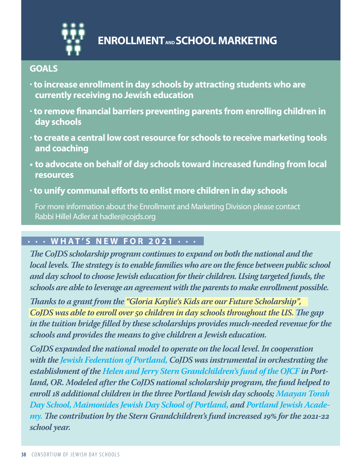

# **GOALS**

- **· to increase enrollment in day schools by attracting students who are currently receiving no Jewish education**
- **· to remove financial barriers preventing parents from enrolling children in day schools**
- **· to create a central low cost resource for schools to receive marketing tools and coaching**
- **• to advocate on behalf of day schools toward increased funding from local resources**
- **· to unify communal efforts to enlist more children in day schools**

For more information about the Enrollment and Marketing Division please contact Rabbi Hillel Adler at hadler@cojds.org

# **∙ ∙ ∙ WHAT'S NEW FOR 2021 ∙ ∙ ∙**

*The CoJDS scholarship program continues to expand on both the national and the local levels. The strategy is to enable families who are on the fence between public school and day school to choose Jewish education for their children. Using targeted funds, the schools are able to leverage an agreement with the parents to make enrollment possible.* 

*Thanks to a grant from the "Gloria Kaylie's Kids are our Future Scholarship", CoJDS was able to enroll over 50 children in day schools throughout the US. The gap in the tuition bridge filled by these scholarships provides much-needed revenue for the schools and provides the means to give children a Jewish education.*

*CoJDS expanded the national model to operate on the local level. In cooperation with the Jewish Federation of Portland, CoJDS was instrumental in orchestrating the establishment of the Helen and Jerry Stern Grandchildren's fund of the OJCF in Portland, OR. Modeled after the CoJDS national scholarship program, the fund helped to enroll 18 additional children in the three Portland Jewish day schools; Maayan Torah Day School, Maimonides Jewish Day School of Portland, and Portland Jewish Academy. The contribution by the Stern Grandchildren's fund increased 19% for the 2021-22 school year.*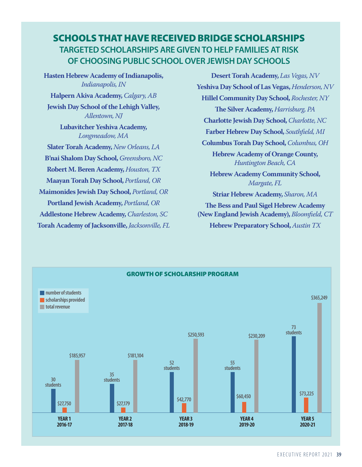# SCHOOLS THAT HAVE RECEIVED BRIDGE SCHOLARSHIPS **TARGETED SCHOLARSHIPS ARE GIVEN TO HELP FAMILIES AT RISK OF CHOOSING PUBLIC SCHOOL OVER JEWISH DAY SCHOOLS**

**Hasten Hebrew Academy of Indianapolis,**  *Indianapolis, IN*  **Halpern Akiva Academy,** *Calgary, AB* **Jewish Day School of the Lehigh Valley,**  *Allentown, NJ* **Lubavitcher Yeshiva Academy,**  *Longmeadow, MA* **Slater Torah Academy,** *New Orleans, LA* **B'nai Shalom Day School,** *Greensboro, NC* **Robert M. Beren Academy,** *Houston, TX* **Maayan Torah Day School,** *Portland, OR* **Maimonides Jewish Day School,** *Portland, OR* **Portland Jewish Academy,** *Portland, OR* **Addlestone Hebrew Academy,** *Charleston, SC* **Torah Academy of Jacksonville,** *Jacksonville, FL*

**Desert Torah Academy,** *Las Vegas, NV* **Yeshiva Day School of Las Vegas,** *Henderson, NV* **Hillel Community Day School,** *Rochester, NY* **The Silver Academy,** *Harrisburg, PA* **Charlotte Jewish Day School,** *Charlotte, NC*  **Farber Hebrew Day School,** *Southfield, MI* **Columbus Torah Day School,** *Columbus, OH* **Hebrew Academy of Orange County,**  *Huntington Beach, CA* **Hebrew Academy Community School,**  *Margate, FL* **Striar Hebrew Academy,** *Sharon, MA* **The Bess and Paul Sigel Hebrew Academy** 

**(New England Jewish Academy),** *Bloomfield, CT* **Hebrew Preparatory School,** *Austin TX*

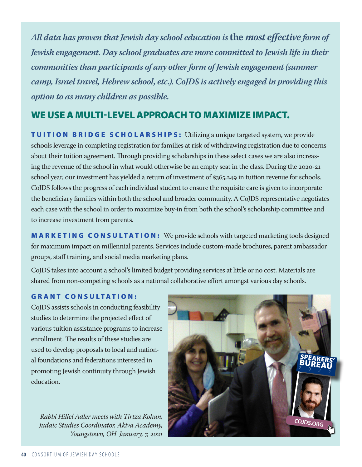*All data has proven that Jewish day school education is* **the** *most effective form of Jewish engagement. Day school graduates are more committed to Jewish life in their communities than participants of any other form of Jewish engagement (summer camp, Israel travel, Hebrew school, etc.). CoJDS is actively engaged in providing this option to as many children as possible.*

# WE USE A MULTI-LEVEL APPROACH TO MAXIMIZE IMPACT.

TUITION BRIDGE SCHOLARSHIPS: Utilizing a unique targeted system, we provide schools leverage in completing registration for families at risk of withdrawing registration due to concerns about their tuition agreement. Through providing scholarships in these select cases we are also increasing the revenue of the school in what would otherwise be an empty seat in the class. During the 2020-21 school year, our investment has yielded a return of investment of \$365,249 in tuition revenue for schools. CoJDS follows the progress of each individual student to ensure the requisite care is given to incorporate the beneficiary families within both the school and broader community. A CoJDS representative negotiates each case with the school in order to maximize buy-in from both the school's scholarship committee and to increase investment from parents.

MARKETING CONSULTATION: We provide schools with targeted marketing tools designed for maximum impact on millennial parents. Services include custom-made brochures, parent ambassador groups, staff training, and social media marketing plans.

CoJDS takes into account a school's limited budget providing services at little or no cost. Materials are shared from non-competing schools as a national collaborative effort amongst various day schools.

## GRANT CONSULTATION:

CoJDS assists schools in conducting feasibility studies to determine the projected effect of various tuition assistance programs to increase enrollment. The results of these studies are used to develop proposals to local and national foundations and federations interested in promoting Jewish continuity through Jewish education.

*Rabbi Hillel Adler meets with Tirtza Kohan, Judaic Studies Coordinator, Akiva Academy, Youngstown, OH January, 7, 2021*

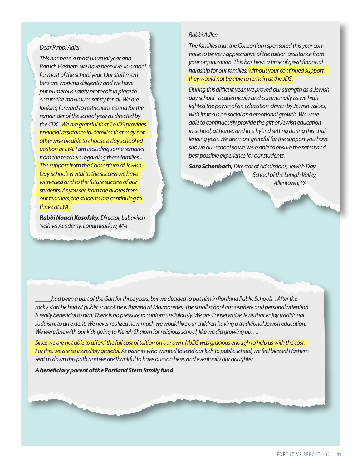#### *Dear Rabbi Adler,*

*This has been a most unusual year and Baruch Hashem, we have been live, in-school for most of the school year. Our staff members are working diligently and we have put numerous safety protocols in place to ensure the maximum safety for all. We are looking forward to restrictions easing for the remainder of the school year as directed by the CDC. We are grateful that CoJDS provides financial assistance for families that may not otherwise be able to choose a day school education at LYA. I am including some remarks from the teachers regarding these families... The support from the Consortium of Jewish Day Schools is vital to the success we have witnessed and to the future success of our students. As you see from the quotes from our teachers, the students are continuing to thrive at LYA.* 

*Rabbi Noach Kosofsky, Director, Lubavitch Yeshiva Academy, Longmeadow, MA*

#### *Rabbi Adler:*

*The families that the Consortium sponsored this year continue to be very appreciative of the tuition assistance from your organization. This has been a time of great financial hardship for our families; without your continued support, they would not be able to remain at the JDS.*

*During this difficult year, we proved our strength as a Jewish day school--academically and communally as we highlighted the power of an education-driven by Jewish values, with its focus on social and emotional growth. We were able to continuously provide the gift of Jewish education in-school, at home, and in a hybrid setting during this challenging year. We are most grateful for the support you have shown our school so we were able to ensure the safest and best possible experience for our students.*

*Sara Schonbach, Director of Admissions, Jewish Day School of the Lehigh Valley, Allentown, PA*

*\_\_\_\_\_had been a part of the Gan for three years, but we decided to put him in Portland Public Schools. ..After the*  rocky start he had at public school, he is thriving at Maimonides. The small school atmosphere and personal attention is really beneficial to him. There is no pressure to conform, religiously. We are Conservative Jews that enjoy traditional *Judaism, to an extent. We never realized how much we would like our children having a traditional Jewish education. We were fine with our kids going to Neveh Shalom for religious school, like we did growing up….*

*Since we are not able to afford the full cost of tuition on our own, MJDS was gracious enough to help us with the cost. For this, we are so incredibly grateful. As parents who wanted to send our kids to public school, we feel blessed Hashem sent us down this path and we are thankful to have our son here, and eventually our daughter.* 

*A beneficiary parent of the Portland Stern family fund*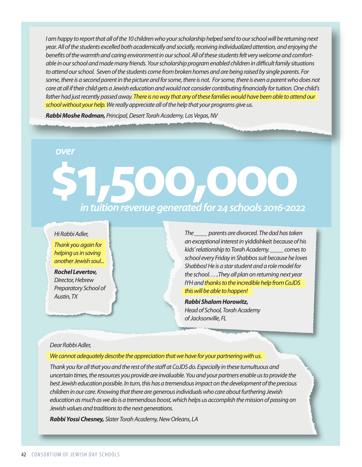*I am happy to report that all of the 10 children who your scholarship helped send to our school will be returning next year. All of the students excelled both academically and socially, receiving individualized attention, and enjoying the benefits of the warmth and caring environment in our school. All of these students felt very welcome and comfortable in our school and made many friends. Your scholarship program enabled children in difficult family situations to attend our school. Seven of the students come from broken homes and are being raised by single parents. For*  some, there is a second parent in the picture and for some, there is not. For some, there is even a parent who does not *care at all if their child gets a Jewish education and would not consider contributing financially for tuition. One child's*  father had just recently passed away. There is no way that any of these families would have been able to attend our *school without your help. We really appreciate all of the help that your programs give us.*

*Rabbi Moshe Rodman, Principal, Desert Torah Academy, Las Vegas, NV*

## *over*

# **\$1,500,000** *in tuition revenue generated for 24 schools 2016-2022*

#### *Hi Rabbi Adler,*

*Thank you again for helping us in saving another Jewish soul...*

*Rochel Levertov, Director, Hebrew Preparatory School of Austin, TX*

*The \_\_\_\_ parents are divorced. The dad has taken an exceptional interest in* yiddishkeit *because of his kids' relationship to Torah Academy. \_\_\_\_ comes to school every Friday in Shabbos suit because he loves Shabbos! He is a star student and a role model for the school. ….They all plan on returning next year IYH and thanks to the incredible help from CoJDS this will be able to happen!*

*Rabbi Shalom Horowitz, Head of School, Torah Academy of Jacksonville, FL*

#### *Dear Rabbi Adler,*

*We cannot adequately describe the appreciation that we have for your partnering with us.*

*Thank you for all that you and the rest of the staff at CoJDS do. Especially in these tumultuous and uncertain times, the resources you provide are invaluable. You and your partners enable us to provide the best Jewish education possible. In turn, this has a tremendous impact on the development of the precious children in our care. Knowing that there are generous individuals who care about furthering Jewish education as much as we do is a tremendous boost, which helps us accomplish the mission of passing on Jewish values and traditions to the next generations.*

*Rabbi Yossi Chesney, Slater Torah Academy, New Orleans, LA*